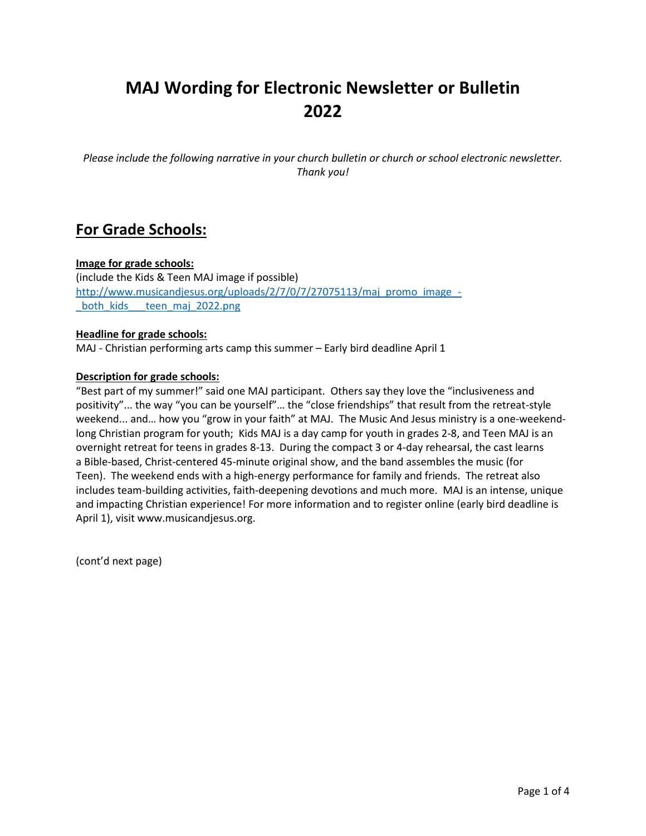# **MAJ Wording for Electronic Newsletter or Bulletin 2022**

*Please include the following narrative in your church bulletin or church or school electronic newsletter. Thank you!*

### **For Grade Schools:**

#### **Image for grade schools:**

(include the Kids & Teen MAJ image if possible) [http://www.musicandjesus.org/uploads/2/7/0/7/27075113/maj\\_promo\\_image\\_-](http://www.musicandjesus.org/uploads/2/7/0/7/27075113/maj_promo_image_-_both_kids___teen_maj_2022.png) [\\_both\\_kids\\_\\_\\_teen\\_maj\\_2022.png](http://www.musicandjesus.org/uploads/2/7/0/7/27075113/maj_promo_image_-_both_kids___teen_maj_2022.png)

#### **Headline for grade schools:**

MAJ - Christian performing arts camp this summer – Early bird deadline April 1

#### **Description for grade schools:**

"Best part of my summer!" said one MAJ participant. Others say they love the "inclusiveness and positivity"... the way "you can be yourself"… the "close friendships" that result from the retreat-style weekend... and… how you "grow in your faith" at MAJ. The Music And Jesus ministry is a one-weekendlong Christian program for youth; Kids MAJ is a day camp for youth in grades 2-8, and Teen MAJ is an overnight retreat for teens in grades 8-13. During the compact 3 or 4-day rehearsal, the cast learns a Bible-based, Christ-centered 45-minute original show, and the band assembles the music (for Teen). The weekend ends with a high-energy performance for family and friends. The retreat also includes team-building activities, faith-deepening devotions and much more. MAJ is an intense, unique and impacting Christian experience! For more information and to register online (early bird deadline is April 1), visit [www.musicandjesus.org.](http://www.musicandjesus.org/)

(cont'd next page)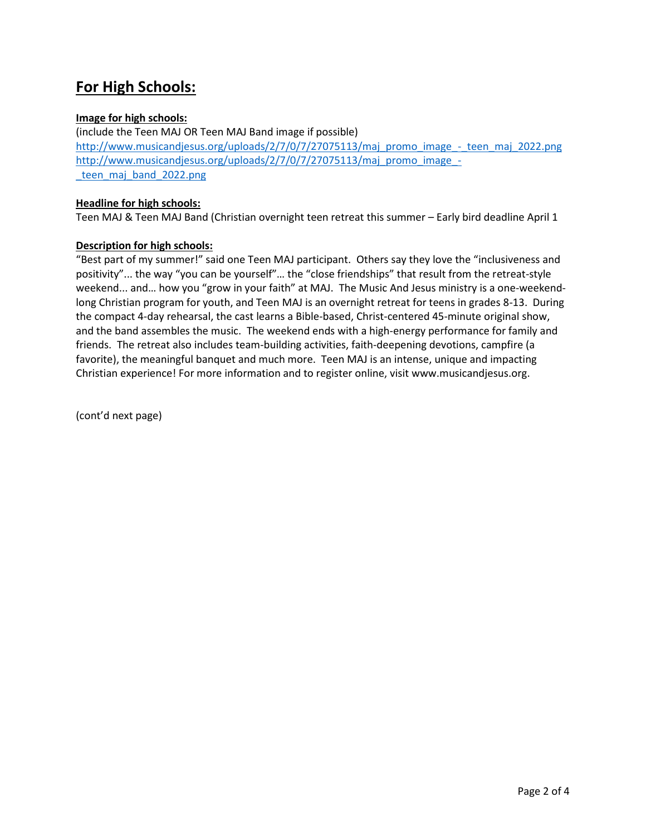### **For High Schools:**

#### **Image for high schools:**

(include the Teen MAJ OR Teen MAJ Band image if possible) [http://www.musicandjesus.org/uploads/2/7/0/7/27075113/maj\\_promo\\_image\\_-\\_teen\\_maj\\_2022.png](http://www.musicandjesus.org/uploads/2/7/0/7/27075113/maj_promo_image_-_teen_maj_2022.png) [http://www.musicandjesus.org/uploads/2/7/0/7/27075113/maj\\_promo\\_image\\_](http://www.musicandjesus.org/uploads/2/7/0/7/27075113/maj_promo_image_-_teen_maj_band_2022.png) teen maj band 2022.png

#### **Headline for high schools:**

Teen MAJ & Teen MAJ Band (Christian overnight teen retreat this summer – Early bird deadline April 1

#### **Description for high schools:**

"Best part of my summer!" said one Teen MAJ participant. Others say they love the "inclusiveness and positivity"... the way "you can be yourself"… the "close friendships" that result from the retreat-style weekend... and… how you "grow in your faith" at MAJ. The Music And Jesus ministry is a one-weekendlong Christian program for youth, and Teen MAJ is an overnight retreat for teens in grades 8-13. During the compact 4-day rehearsal, the cast learns a Bible-based, Christ-centered 45-minute original show, and the band assembles the music. The weekend ends with a high-energy performance for family and friends. The retreat also includes team-building activities, faith-deepening devotions, campfire (a favorite), the meaningful banquet and much more. Teen MAJ is an intense, unique and impacting Christian experience! For more information and to register online, visit [www.musicandjesus.org.](http://www.musicandjesus.org/)

(cont'd next page)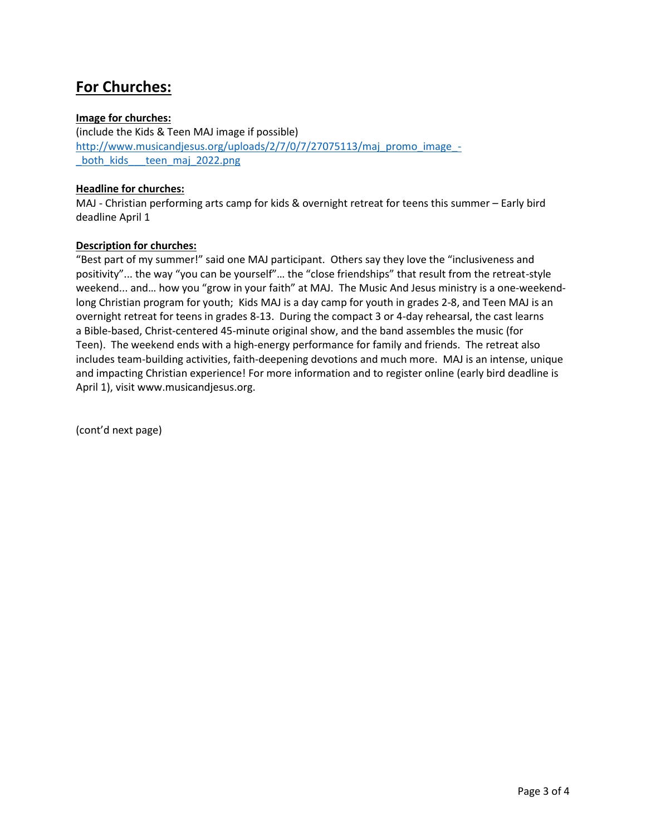### **For Churches:**

#### **Image for churches:**

(include the Kids & Teen MAJ image if possible) [http://www.musicandjesus.org/uploads/2/7/0/7/27075113/maj\\_promo\\_image\\_](http://www.musicandjesus.org/uploads/2/7/0/7/27075113/maj_promo_image_-_both_kids___teen_maj_2022.png) both kids teen maj 2022.png

#### **Headline for churches:**

MAJ - Christian performing arts camp for kids & overnight retreat for teens this summer – Early bird deadline April 1

#### **Description for churches:**

"Best part of my summer!" said one MAJ participant. Others say they love the "inclusiveness and positivity"... the way "you can be yourself"… the "close friendships" that result from the retreat-style weekend... and… how you "grow in your faith" at MAJ. The Music And Jesus ministry is a one-weekendlong Christian program for youth; Kids MAJ is a day camp for youth in grades 2-8, and Teen MAJ is an overnight retreat for teens in grades 8-13. During the compact 3 or 4-day rehearsal, the cast learns a Bible-based, Christ-centered 45-minute original show, and the band assembles the music (for Teen). The weekend ends with a high-energy performance for family and friends. The retreat also includes team-building activities, faith-deepening devotions and much more. MAJ is an intense, unique and impacting Christian experience! For more information and to register online (early bird deadline is April 1), visit [www.musicandjesus.org.](http://www.musicandjesus.org/)

(cont'd next page)